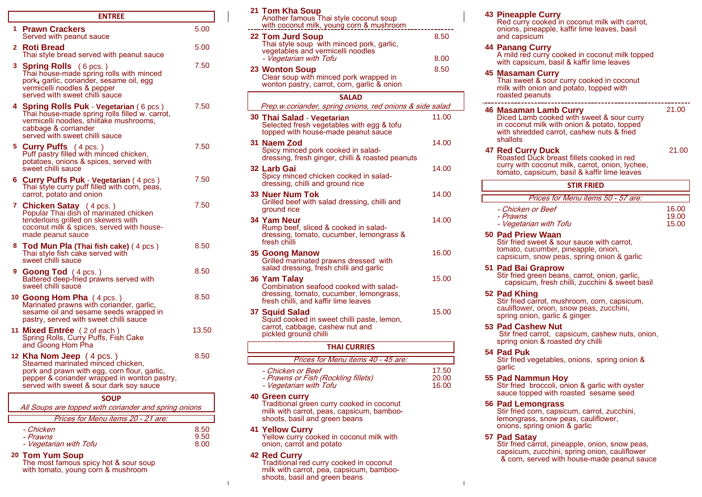|   | <b>ENTREE</b>                                                                                                                                                                                |       | 21 Tom Kha Sou<br>Another famous                                             |
|---|----------------------------------------------------------------------------------------------------------------------------------------------------------------------------------------------|-------|------------------------------------------------------------------------------|
|   | 1 Prawn Crackers<br>Served with peanut sauce                                                                                                                                                 | 5.00  | with coconut mil<br>22 Tom Jurd Sou                                          |
|   | 2 Roti Bread<br>Thai style bread served with peanut sauce                                                                                                                                    | 5.00  | Thai style soup<br>vegetables and<br>- Vegetarian witl                       |
|   | 3 Spring Rolls (6 pcs.)<br>Thai house-made spring rolls with minced<br>pork, garlic, coriander, sesame oil, egg<br>vermicelli noodles & pepper<br>served with sweet chilli sauce             | 7.50  | 23 Wonton Soup<br>Clear soup with<br>wonton pastry, o                        |
| 4 | Spring Rolls Puk - Vegetarian (6 pcs)<br>Thai house-made spring rolls filled w. carrot,<br>vermicelli noodles, shiitake mushrooms,<br>cabbage & corriander<br>served with sweet chilli sauce | 7.50  | Prep.w.coriande<br>30 Thai Salad - V<br>Selected fresh v<br>topped with hou  |
|   | <b>5 Curry Puffs</b> $(4 \text{ pcs.})$<br>Puff pastry filled with minced chicken,<br>potatoes, onions & spices, served with                                                                 | 7.50  | 31 Naem Zod<br>Spicy minced po<br>dressing, fresh o                          |
|   | sweet chilli sauce<br>6 Curry Puffs Puk - Vegetarian (4 pcs)<br>Thai style curry puff filled with corn, peas,                                                                                | 7.50  | 32 Larb Gai<br>Spicy minced ch<br>dressing, chilli a                         |
|   | carrot, potato and onion<br>7 Chicken Satay (4 pcs.)<br>Popular Thai dish of marinated chicken                                                                                               | 7.50  | 33 Nuer Num Tol<br>Grilled beef with<br>ground rice                          |
|   | tenderloins grilled on skewers with<br>coconut milk & spices, served with house-<br>made peanut sauce                                                                                        |       | 34 Yam Neur<br>Rump beef, slice<br>dressing, tomato                          |
|   | 8 Tod Mun Pla (Thai fish cake) (4 pcs)<br>Thai style fish cake served with<br>sweet chilli sauce                                                                                             | 8.50  | fresh chilli<br>35 Goong Manov<br>Grilled marinate                           |
|   | 9 Goong Tod (4 pcs.)<br>Battered deep-fried prawns served with<br>sweet chilli sauce                                                                                                         | 8.50  | salad dressing, t<br>36 Yam Talay<br>Combination sea                         |
|   | 10 Goong Hom Pha (4 pcs.)<br>Marinated prawns with coriander, garlic,<br>sesame oil and sesame seeds wrapped in<br>pastry, served with sweet chilli sauce                                    | 8.50  | dressing, tomato<br>fresh chilli, and I<br>37 Squid Salad<br>Squid cooked in |
|   | 11 Mixed Entrée (2 of each)<br>Spring Rolls, Curry Puffs, Fish Cake<br>and Goong Hom Pha                                                                                                     | 13.50 | carrot, cabbage,<br>pickled ground c                                         |
|   | 12 Kha Nom Jeep $(4 \text{ pcs.})$                                                                                                                                                           | 8.50  | Prices                                                                       |
|   | Steamed marinated minced chicken,<br>pork and prawn with egg, corn flour, garlic,<br>pepper & coriander wrapped in wonton pastry,<br>served with sweet & sour dark soy sauce                 |       | - Chicken or Bet<br><i>- Prawns or Fisl</i><br>- Vegetarian witl             |
|   | <b>SOUP</b>                                                                                                                                                                                  |       | <b>40 Green curry</b>                                                        |
|   | All Soups are topped with coriander and spring onions                                                                                                                                        |       | <b>Traditional greer</b><br>milk with carrot.                                |
|   | $Diricharian function of 24$                                                                                                                                                                 |       | choote hooil on                                                              |

| - Chicken              | 8.5C | <b>41 Yellow Curry</b>                   | onions, spring onion & garlic   |  |
|------------------------|------|------------------------------------------|---------------------------------|--|
| - Prawns               | 9.50 | Yellow curry cooked in coconut milk with | 57 Pad Satay                    |  |
| - Vegetarian with Tofu | 8.00 | onion, carrot and potato                 | Stir fried carrot, pineapple, c |  |

| <b>ENTREE</b>                                                                                                                                                                    |       | 21 Tom Kha Soup                                                                                                              |                         | <b>43 Pineapple Curry</b>                                                                                                                                                       |                |
|----------------------------------------------------------------------------------------------------------------------------------------------------------------------------------|-------|------------------------------------------------------------------------------------------------------------------------------|-------------------------|---------------------------------------------------------------------------------------------------------------------------------------------------------------------------------|----------------|
| 1 Prawn Crackers                                                                                                                                                                 | 5.00  | Another famous Thai style coconut soup<br>with coconut milk, young corn & mushroom                                           |                         | Red curry cooked in coconut milk with carrot.<br>onions, pineapple, kaffir lime leaves, basil                                                                                   |                |
| Served with peanut sauce<br>2 Roti Bread<br>Thai style bread served with peanut sauce                                                                                            | 5.00  | 22 Tom Jurd Soup<br>Thai style soup with minced pork, garlic,<br>vegetables and vermicelli noodles<br>- Vegetarian with Tofu | 8.50<br>8.00            | and capsicum<br><b>44 Panang Curry</b><br>A mild red curry cooked in coconut milk topped                                                                                        |                |
| 3 Spring Rolls (6 pcs.)<br>Thai house-made spring rolls with minced<br>pork, garlic, coriander, sesame oil, egg<br>vermicelli noodles & pepper<br>served with sweet chilli sauce | 7.50  | 23 Wonton Soup<br>Clear soup with minced pork wrapped in<br>wonton pastry, carrot, corn, garlic & onion<br><b>SALAD</b>      | 8.50                    | with capsicum, basil & kaffir lime leaves<br><b>45 Masaman Curry</b><br>Thai sweet & sour curry cooked in coconut<br>milk with onion and potato, topped with<br>roasted peanuts |                |
| 4 Spring Rolls Puk - Vegetarian (6 pcs)                                                                                                                                          | 7.50  | Prep.w.coriander, spring onions, red onions & side salad                                                                     |                         |                                                                                                                                                                                 |                |
| Thai house-made spring rolls filled w. carrot,<br>vermicelli noodles, shiitake mushrooms,<br>cabbage & corriander<br>served with sweet chilli sauce                              |       | 30 Thai Salad - Vegetarian<br>Selected fresh vegetables with egg & tofu<br>topped with house-made peanut sauce               | 11.00                   | <b>46 Masaman Lamb Curry</b><br>Diced Lamb cooked with sweet & sour curry<br>in coconut milk with onion & potato, topped<br>with shredded carrot, cashew nuts & fried           | 21.00          |
| 5 Curry Puffs (4 pcs.)<br>Puff pastry filled with minced chicken,<br>potatoes, onions & spices, served with                                                                      | 7.50  | 31 Naem Zod<br>Spicy minced pork cooked in salad-<br>dressing, fresh ginger, chilli & roasted peanuts                        | 14.00                   | shallots<br><b>47 Red Curry Duck</b><br>Roasted Duck breast fillets cooked in red                                                                                               | 21.00          |
| sweet chilli sauce<br>6 Curry Puffs Puk - Vegetarian (4 pcs)                                                                                                                     | 7.50  | 32 Larb Gai<br>Spicy minced chicken cooked in salad-<br>dressing, chilli and ground rice                                     | 14.00                   | curry with coconut milk, carrot, onion, lychee,<br>tomato, capsicum, basil & kaffir lime leaves                                                                                 |                |
| Thai style curry puff filled with corn, peas,<br>carrot, potato and onion                                                                                                        |       | 33 Nuer Num Tok                                                                                                              | 14.00                   | <b>STIR FRIED</b>                                                                                                                                                               |                |
| 7 Chicken Satay (4 pcs.)<br>Popular Thai dish of marinated chicken                                                                                                               | 7.50  | Grilled beef with salad dressing, chilli and<br>ground rice                                                                  |                         | Prices for Menu items 50 - 57 are:<br>- Chicken or Beef                                                                                                                         | 16.00          |
| tenderloins grilled on skewers with<br>coconut milk & spices, served with house-                                                                                                 |       | 34 Yam Neur<br>Rump beef, sliced & cooked in salad-                                                                          | 14.00                   | - Prawns<br>- Vegetarian with Tofu<br>50 Pad Priew Waan                                                                                                                         | 19.00<br>15.00 |
| made peanut sauce<br>8 Tod Mun Pla (Thai fish cake) (4 pcs)<br>Thai style fish cake served with                                                                                  | 8.50  | dressing, tomato, cucumber, lemongrass &<br>fresh chilli<br><b>35 Goong Manow</b>                                            | 16.00                   | Stir fried sweet & sour sauce with carrot,<br>tomato, cucumber, pineapple, onion,                                                                                               |                |
| sweet chilli sauce                                                                                                                                                               | 8.50  | Grilled marinated prawns dressed with<br>salad dressing, fresh chilli and garlic                                             |                         | capsicum, snow peas, spring onion & garlic<br>51 Pad Bai Graprow                                                                                                                |                |
| 9 Goong Tod (4 pcs.)<br>Battered deep-fried prawns served with<br>sweet chilli sauce                                                                                             |       | 36 Yam Talay<br>Combination seafood cooked with salad-                                                                       | 15.00                   | Stir fried green beans, carrot, onion, garlic,<br>capsicum, fresh chilli, zucchini & sweet basil                                                                                |                |
| 10 Goong Hom Pha (4 pcs.)<br>Marinated prawns with coriander, garlic,                                                                                                            | 8.50  | dressing, tomato, cucumber, lemongrass,<br>fresh chilli, and kaffir lime leaves                                              |                         | 52 Pad Khing<br>Stir fried carrot, mushroom, corn, capsicum,                                                                                                                    |                |
| sesame oil and sesame seeds wrapped in<br>pastry, served with sweet chilli sauce                                                                                                 |       | 37 Squid Salad<br>Squid cooked in sweet chilli paste, lemon,                                                                 | 15.00                   | cauliflower, onion, snow peas, zucchini,<br>spring onion, garlic & ginger                                                                                                       |                |
| 11 Mixed Entrée (2 of each)<br>Spring Rolls, Curry Puffs, Fish Cake                                                                                                              | 13.50 | carrot, cabbage, cashew nut and<br>pickled ground chilli                                                                     |                         | 53 Pad Cashew Nut<br>Stir fried carrot, capsicum, cashew nuts, onion,<br>spring onion & roasted dry chilli                                                                      |                |
| and Goong Hom Pha                                                                                                                                                                |       | <b>THAI CURRIES</b>                                                                                                          |                         | 54 Pad Puk                                                                                                                                                                      |                |
| 12 Kha Nom Jeep (4 pcs.)<br>Steamed marinated minced chicken.                                                                                                                    | 8.50  | Prices for Menu items 40 - 45 are:                                                                                           |                         | Stir fried vegetables, onions, spring onion &                                                                                                                                   |                |
| pork and prawn with egg, corn flour, garlic,<br>pepper & coriander wrapped in wonton pastry,<br>served with sweet & sour dark soy sauce                                          |       | - Chicken or Beef<br>- Prawns or Fish (Rockling fillets)<br>- Vegetarian with Tofu                                           | 17.50<br>20.00<br>16.00 | garlic<br>55 Pad Nammun Hoy<br>Stir fried broccoli, onion & garlic with oyster<br>sauce topped with roasted sesame seed                                                         |                |
| <b>SOUP</b>                                                                                                                                                                      |       | <b>40 Green curry</b><br>القرار والمتحدث والمتحالة المتحار المتحدث والمستردة                                                 |                         | <b>PACIFICATION</b> AND ALCOHOL:                                                                                                                                                |                |

Traditional green curry cooked in coconut **Fraditional green curry cooked in coconut 56 Pad Lemongrass**<br>
All South carrot, peas, capsicum, bamboo-<br>
Stir fried corn, capsicum, carrot, zucchini, shoots, basil and green beans<br>
Stir fried corn, capsicum, carrot, zuc

with tomato, young corn & mushroom milk with carrot, pea, capsicum, bambooshoots, basil and green beans

| Prices for Menu items 50 - 57 are:                      |                         |
|---------------------------------------------------------|-------------------------|
| - Chicken or Beef<br>- Prawns<br>- Vegetarian with Tofu | 16.00<br>19.00<br>15.00 |
|                                                         |                         |

## 50 Pad Priew Waan

## salad dressing, fresh chilli and garlic **51 Pad Bai Graprow**

Prices for Menu items 20 - 21 are: shoots, basil and green beans lemongrass, snow peas, cauliflower, prices for Menu items 20 - 21 are: shoots, basil and green beans lemongrass, snow peas, cauliflower,

capsicum, zucchini, spring onion, cauliflower<br>The most famous spicy hot & sour soup **20 12 Red Curry** cooked in coconut **12 142 142 Capsicum, zucchini, spring onion, cauliflower 149 149 149 149 149 14**  $\&$  corn, served with house-made peanut sauce Stir fried carrot, pineapple, onion, snow peas,